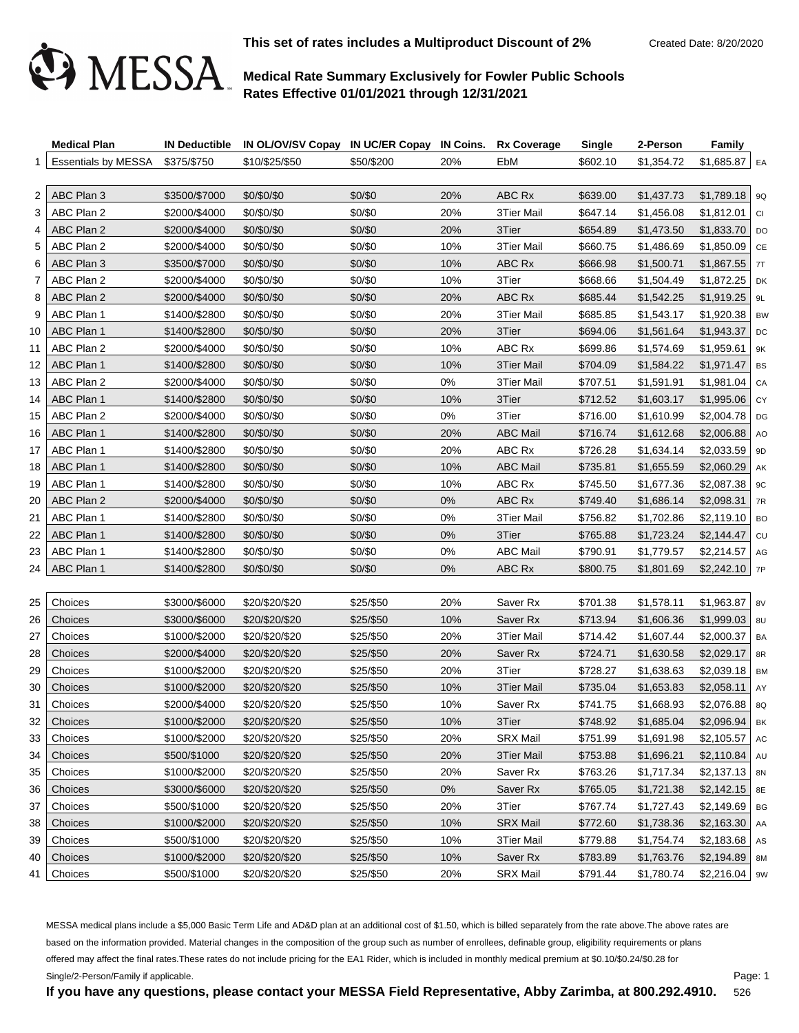

**This set of rates includes a Multiproduct Discount of 2%** Created Date: 8/20/2020

# **Medical Rate Summary Exclusively for Fowler Public Schools Rates Effective 01/01/2021 through 12/31/2021**

|    | <b>Medical Plan</b>             |               | IN Deductible IN OL/OV/SV Copay IN UC/ER Copay IN Coins. Rx Coverage |            |       |                     | <b>Single</b> | 2-Person   | <b>Family</b>    |           |
|----|---------------------------------|---------------|----------------------------------------------------------------------|------------|-------|---------------------|---------------|------------|------------------|-----------|
|    | Essentials by MESSA \$375/\$750 |               | \$10/\$25/\$50                                                       | \$50/\$200 | 20%   | EbM                 | \$602.10      | \$1,354.72 | $$1,685.87$ EA   |           |
|    |                                 |               |                                                                      |            |       |                     |               |            |                  |           |
| 2  | ABC Plan 3                      | \$3500/\$7000 | \$0/\$0/\$0                                                          | \$0/\$0    | 20%   | ABC Rx              | \$639.00      | \$1,437.73 | $$1,789.18$ 9Q   |           |
| 3  | ABC Plan 2                      | \$2000/\$4000 | \$0/\$0/\$0                                                          | \$0/\$0    | 20%   | 3Tier Mail          | \$647.14      | \$1,456.08 | \$1,812.01       | <b>CI</b> |
| 4  | ABC Plan 2                      | \$2000/\$4000 | \$0/\$0/\$0                                                          | \$0/\$0    | 20%   | 3Tier               | \$654.89      | \$1,473.50 | $$1,833.70$ DO   |           |
| 5  | ABC Plan 2                      | \$2000/\$4000 | \$0/\$0/\$0                                                          | \$0/\$0    | 10%   | 3Tier Mail          | \$660.75      | \$1,486.69 | $$1,850.09$ CE   |           |
| 6  | ABC Plan 3                      | \$3500/\$7000 | \$0/\$0/\$0                                                          | \$0/\$0    | 10%   | ABC Rx              | \$666.98      | \$1,500.71 | $$1,867.55$ 7T   |           |
| 7  | ABC Plan 2                      | \$2000/\$4000 | \$0/\$0/\$0                                                          | \$0/\$0    | 10%   | 3Tier               | \$668.66      | \$1,504.49 | $$1,872.25$ DK   |           |
| 8  | ABC Plan 2                      | \$2000/\$4000 | \$0/\$0/\$0                                                          | \$0/\$0    | 20%   | ABC Rx              | \$685.44      | \$1,542.25 | $$1,919.25$   9L |           |
| 9  | ABC Plan 1                      | \$1400/\$2800 | \$0/\$0/\$0                                                          | \$0/\$0    | 20%   | 3Tier Mail          | \$685.85      | \$1,543.17 | $$1,920.38$ BW   |           |
| 10 | ABC Plan 1                      | \$1400/\$2800 | \$0/\$0/\$0                                                          | \$0/\$0    | 20%   | 3Tier               | \$694.06      | \$1,561.64 | \$1,943.37       | DC        |
| 11 | ABC Plan 2                      | \$2000/\$4000 | \$0/\$0/\$0                                                          | \$0/\$0    | 10%   | ABC Rx              | \$699.86      | \$1,574.69 | $$1,959.61$   9K |           |
| 12 | ABC Plan 1                      | \$1400/\$2800 | \$0/\$0/\$0                                                          | \$0/\$0    | 10%   | 3Tier Mail          | \$704.09      | \$1,584.22 | $$1,971.47$ BS   |           |
| 13 | ABC Plan 2                      | \$2000/\$4000 | \$0/\$0/\$0                                                          | \$0/\$0    | 0%    | <b>3Tier Mail</b>   | \$707.51      | \$1,591.91 | $$1,981.04$ CA   |           |
| 14 | ABC Plan 1                      | \$1400/\$2800 | \$0/\$0/\$0                                                          | \$0/\$0    | 10%   | 3Tier               | \$712.52      | \$1,603.17 | $$1,995.06$ CY   |           |
| 15 | ABC Plan 2                      | \$2000/\$4000 | \$0/\$0/\$0                                                          | \$0/\$0    | 0%    | 3Tier               | \$716.00      | \$1,610.99 | $$2,004.78$ DG   |           |
| 16 | ABC Plan 1                      | \$1400/\$2800 | \$0/\$0/\$0                                                          | \$0/\$0    | 20%   | <b>ABC Mail</b>     | \$716.74      | \$1,612.68 | $$2,006.88$ AO   |           |
| 17 | ABC Plan 1                      | \$1400/\$2800 | \$0/\$0/\$0                                                          | \$0/\$0    | 20%   | ABC Rx              | \$726.28      | \$1,634.14 | $$2,033.59$   9D |           |
| 18 | ABC Plan 1                      | \$1400/\$2800 | \$0/\$0/\$0                                                          | \$0/\$0    | 10%   | <b>ABC Mail</b>     | \$735.81      | \$1,655.59 | $$2,060.29$ AK   |           |
| 19 | ABC Plan 1                      | \$1400/\$2800 | \$0/\$0/\$0                                                          | \$0/\$0    | 10%   | ABC Rx              | \$745.50      | \$1,677.36 | $$2,087.38$   9C |           |
| 20 | ABC Plan 2                      | \$2000/\$4000 | \$0/\$0/\$0                                                          | \$0/\$0    | $0\%$ | ABC Rx              | \$749.40      | \$1,686.14 | \$2,098.31       | 7R        |
| 21 | ABC Plan 1                      | \$1400/\$2800 | \$0/\$0/\$0                                                          | \$0/\$0    | 0%    | 3Tier Mail          | \$756.82      | \$1,702.86 | $$2,119.10$ BO   |           |
| 22 | ABC Plan 1                      | \$1400/\$2800 | \$0/\$0/\$0                                                          | \$0/\$0    | 0%    | 3Tier               | \$765.88      | \$1,723.24 | \$2,144.47       | CU        |
| 23 | ABC Plan 1                      | \$1400/\$2800 | \$0/\$0/\$0                                                          | \$0/\$0    | 0%    | <b>ABC Mail</b>     | \$790.91      | \$1,779.57 | $$2,214.57$ AG   |           |
| 24 | ABC Plan 1                      | \$1400/\$2800 | \$0/\$0/\$0                                                          | \$0/\$0    | 0%    | ABC Rx              | \$800.75      | \$1,801.69 | $$2,242.10$ 7P   |           |
|    |                                 |               |                                                                      |            |       |                     |               |            |                  |           |
| 25 | Choices                         | \$3000/\$6000 | \$20/\$20/\$20                                                       | \$25/\$50  | 20%   | Saver Rx            | \$701.38      | \$1,578.11 | $$1,963.87$   8V |           |
| 26 | Choices                         | \$3000/\$6000 | \$20/\$20/\$20                                                       | \$25/\$50  | 10%   | Saver Rx            | \$713.94      | \$1,606.36 | $$1,999.03$ 8U   |           |
| 27 | Choices                         | \$1000/\$2000 | \$20/\$20/\$20                                                       | \$25/\$50  | 20%   | <b>3Tier Mail</b>   | \$714.42      | \$1,607.44 | $$2,000.37$   BA |           |
| 28 | Choices                         | \$2000/\$4000 | \$20/\$20/\$20                                                       | \$25/\$50  | 20%   | Saver <sub>Rx</sub> | \$724.71      | \$1,630.58 | \$2,029.17       | 8R        |
| 29 | Choices                         | \$1000/\$2000 | \$20/\$20/\$20                                                       | \$25/\$50  | 20%   | 3Tier               | \$728.27      | \$1,638.63 | $$2,039.18$ BM   |           |
| 30 | Choices                         | \$1000/\$2000 | \$20/\$20/\$20                                                       | \$25/\$50  | 10%   | 3Tier Mail          | \$735.04      | \$1,653.83 | \$2,058.11       | AY        |
| 31 | Choices                         | \$2000/\$4000 | \$20/\$20/\$20                                                       | \$25/\$50  | 10%   | Saver Rx            | \$741.75      | \$1,668.93 | $$2,076.88$ 8Q   |           |
| 32 | Choices                         | \$1000/\$2000 | \$20/\$20/\$20                                                       | \$25/\$50  | 10%   | 3Tier               | \$748.92      | \$1,685.04 | $$2.096.94$ BK   |           |
| 33 | Choices                         | \$1000/\$2000 | \$20/\$20/\$20                                                       | \$25/\$50  | 20%   | <b>SRX Mail</b>     | \$751.99      | \$1,691.98 | \$2,105.57       | AC        |
| 34 | Choices                         | \$500/\$1000  | \$20/\$20/\$20                                                       | \$25/\$50  | 20%   | 3Tier Mail          | \$753.88      | \$1,696.21 | \$2,110.84       | AU        |
| 35 | Choices                         | \$1000/\$2000 | \$20/\$20/\$20                                                       | \$25/\$50  | 20%   | Saver Rx            | \$763.26      | \$1,717.34 | $$2,137.13$ 8N   |           |
| 36 | Choices                         | \$3000/\$6000 | \$20/\$20/\$20                                                       | \$25/\$50  | $0\%$ | Saver Rx            | \$765.05      | \$1,721.38 | \$2,142.15       | 8E        |
| 37 | Choices                         | \$500/\$1000  | \$20/\$20/\$20                                                       | \$25/\$50  | 20%   | 3Tier               | \$767.74      | \$1,727.43 | \$2,149.69       | BG        |
| 38 | Choices                         | \$1000/\$2000 | \$20/\$20/\$20                                                       | \$25/\$50  | 10%   | <b>SRX Mail</b>     | \$772.60      | \$1,738.36 | \$2,163.30       | AA        |
| 39 | Choices                         | \$500/\$1000  | \$20/\$20/\$20                                                       | \$25/\$50  | 10%   | 3Tier Mail          | \$779.88      | \$1,754.74 | \$2,183.68       | AS        |
| 40 | Choices                         | \$1000/\$2000 | \$20/\$20/\$20                                                       | \$25/\$50  | 10%   | Saver Rx            | \$783.89      | \$1,763.76 | \$2,194.89       | 8M        |
| 41 | Choices                         | \$500/\$1000  | \$20/\$20/\$20                                                       | \$25/\$50  | 20%   | <b>SRX Mail</b>     | \$791.44      | \$1,780.74 | $$2,216.04$   9W |           |

MESSA medical plans include a \$5,000 Basic Term Life and AD&D plan at an additional cost of \$1.50, which is billed separately from the rate above.The above rates are based on the information provided. Material changes in the composition of the group such as number of enrollees, definable group, eligibility requirements or plans offered may affect the final rates.These rates do not include pricing for the EA1 Rider, which is included in monthly medical premium at \$0.10/\$0.24/\$0.28 for Single/2-Person/Family if applicable.

Page: 1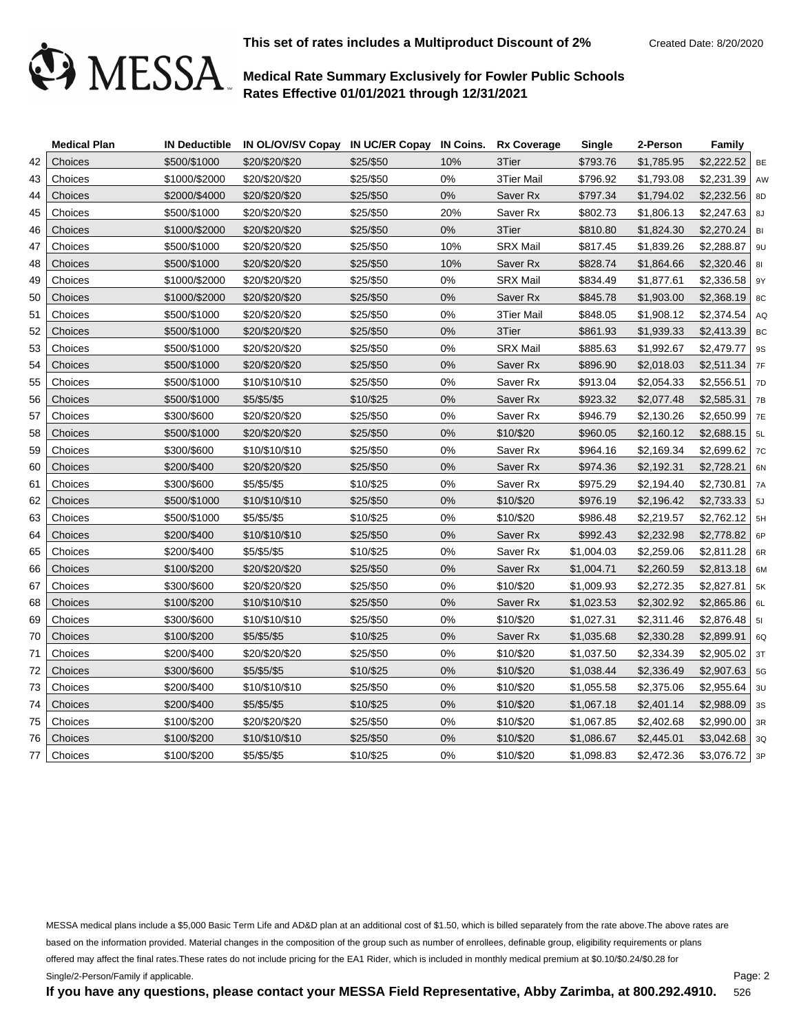

|    | <b>Medical Plan</b> |               | IN Deductible IN OL/OV/SV Copay IN UC/ER Copay IN Coins. Rx Coverage |           |       |                 | <b>Single</b> | 2-Person   | Family           |           |
|----|---------------------|---------------|----------------------------------------------------------------------|-----------|-------|-----------------|---------------|------------|------------------|-----------|
| 42 | Choices             | \$500/\$1000  | \$20/\$20/\$20                                                       | \$25/\$50 | 10%   | 3Tier           | \$793.76      | \$1,785.95 | $$2,222.52$ BE   |           |
| 43 | Choices             | \$1000/\$2000 | \$20/\$20/\$20                                                       | \$25/\$50 | 0%    | 3Tier Mail      | \$796.92      | \$1,793.08 | $$2,231.39$ AW   |           |
| 44 | Choices             | \$2000/\$4000 | \$20/\$20/\$20                                                       | \$25/\$50 | $0\%$ | Saver Rx        | \$797.34      | \$1,794.02 | $$2,232.56$ 8D   |           |
| 45 | Choices             | \$500/\$1000  | \$20/\$20/\$20                                                       | \$25/\$50 | 20%   | Saver Rx        | \$802.73      | \$1,806.13 | $$2,247.63$ 8J   |           |
| 46 | Choices             | \$1000/\$2000 | \$20/\$20/\$20                                                       | \$25/\$50 | $0\%$ | 3Tier           | \$810.80      | \$1,824.30 | $$2,270.24$ BI   |           |
| 47 | Choices             | \$500/\$1000  | \$20/\$20/\$20                                                       | \$25/\$50 | 10%   | <b>SRX Mail</b> | \$817.45      | \$1,839.26 | $$2,288.87$   9U |           |
| 48 | Choices             | \$500/\$1000  | \$20/\$20/\$20                                                       | \$25/\$50 | 10%   | Saver Rx        | \$828.74      | \$1,864.66 | $$2,320.46$ 81   |           |
| 49 | Choices             | \$1000/\$2000 | \$20/\$20/\$20                                                       | \$25/\$50 | 0%    | <b>SRX Mail</b> | \$834.49      | \$1,877.61 | $$2,336.58$   9Y |           |
| 50 | Choices             | \$1000/\$2000 | \$20/\$20/\$20                                                       | \$25/\$50 | 0%    | Saver Rx        | \$845.78      | \$1,903.00 | $$2,368.19$ 8C   |           |
| 51 | Choices             | \$500/\$1000  | \$20/\$20/\$20                                                       | \$25/\$50 | 0%    | 3Tier Mail      | \$848.05      | \$1,908.12 | $$2,374.54$ AQ   |           |
| 52 | Choices             | \$500/\$1000  | \$20/\$20/\$20                                                       | \$25/\$50 | 0%    | 3Tier           | \$861.93      | \$1,939.33 | $$2,413.39$ BC   |           |
| 53 | Choices             | \$500/\$1000  | \$20/\$20/\$20                                                       | \$25/\$50 | 0%    | <b>SRX Mail</b> | \$885.63      | \$1,992.67 | \$2,479.77       | <b>9S</b> |
| 54 | Choices             | \$500/\$1000  | \$20/\$20/\$20                                                       | \$25/\$50 | 0%    | Saver Rx        | \$896.90      | \$2,018.03 | $$2,511.34$ 7F   |           |
| 55 | Choices             | \$500/\$1000  | \$10/\$10/\$10                                                       | \$25/\$50 | 0%    | Saver Rx        | \$913.04      | \$2,054.33 | $$2,556.51$ 7D   |           |
| 56 | Choices             | \$500/\$1000  | \$5/\$5/\$5                                                          | \$10/\$25 | 0%    | Saver Rx        | \$923.32      | \$2,077.48 | $$2,585.31$ 7B   |           |
| 57 | Choices             | \$300/\$600   | \$20/\$20/\$20                                                       | \$25/\$50 | 0%    | Saver Rx        | \$946.79      | \$2,130.26 | $$2,650.99$ 7E   |           |
| 58 | Choices             | \$500/\$1000  | \$20/\$20/\$20                                                       | \$25/\$50 | 0%    | \$10/\$20       | \$960.05      | \$2,160.12 | $$2,688.15$ 5L   |           |
| 59 | Choices             | \$300/\$600   | \$10/\$10/\$10                                                       | \$25/\$50 | 0%    | Saver Rx        | \$964.16      | \$2,169.34 | $$2,699.62$ 7C   |           |
| 60 | Choices             | \$200/\$400   | \$20/\$20/\$20                                                       | \$25/\$50 | 0%    | Saver Rx        | \$974.36      | \$2,192.31 | \$2,728.21       | 6N        |
| 61 | Choices             | \$300/\$600   | \$5/\$5/\$5                                                          | \$10/\$25 | 0%    | Saver Rx        | \$975.29      | \$2,194.40 | \$2,730.81       | 7A        |
| 62 | Choices             | \$500/\$1000  | \$10/\$10/\$10                                                       | \$25/\$50 | 0%    | \$10/\$20       | \$976.19      | \$2,196.42 | $$2,733.33$ 5J   |           |
| 63 | Choices             | \$500/\$1000  | \$5/\$5/\$5                                                          | \$10/\$25 | 0%    | \$10/\$20       | \$986.48      | \$2,219.57 | $$2,762.12$ 5H   |           |
| 64 | Choices             | \$200/\$400   | \$10/\$10/\$10                                                       | \$25/\$50 | 0%    | Saver Rx        | \$992.43      | \$2,232.98 | $$2,778.82$ 6P   |           |
| 65 | Choices             | \$200/\$400   | \$5/\$5/\$5                                                          | \$10/\$25 | 0%    | Saver Rx        | \$1,004.03    | \$2,259.06 | $$2,811.28$ 6R   |           |
| 66 | Choices             | \$100/\$200   | \$20/\$20/\$20                                                       | \$25/\$50 | 0%    | Saver Rx        | \$1,004.71    | \$2,260.59 | $$2,813.18$ 6M   |           |
| 67 | Choices             | \$300/\$600   | \$20/\$20/\$20                                                       | \$25/\$50 | 0%    | \$10/\$20       | \$1,009.93    | \$2,272.35 | $$2,827.81$ 5K   |           |
| 68 | Choices             | \$100/\$200   | \$10/\$10/\$10                                                       | \$25/\$50 | 0%    | Saver Rx        | \$1,023.53    | \$2,302.92 | $$2,865.86$   6L |           |
| 69 | Choices             | \$300/\$600   | \$10/\$10/\$10                                                       | \$25/\$50 | 0%    | \$10/\$20       | \$1,027.31    | \$2,311.46 | $$2,876.48$ 51   |           |
| 70 | Choices             | \$100/\$200   | \$5/\$5/\$5                                                          | \$10/\$25 | 0%    | Saver Rx        | \$1,035.68    | \$2,330.28 | $$2,899.91$ 6Q   |           |
| 71 | Choices             | \$200/\$400   | \$20/\$20/\$20                                                       | \$25/\$50 | 0%    | \$10/\$20       | \$1,037.50    | \$2,334.39 | $$2,905.02$ 3T   |           |
| 72 | Choices             | \$300/\$600   | \$5/\$5/\$5                                                          | \$10/\$25 | $0\%$ | \$10/\$20       | \$1,038.44    | \$2,336.49 | $$2,907.63$ 5G   |           |
| 73 | Choices             | \$200/\$400   | \$10/\$10/\$10                                                       | \$25/\$50 | 0%    | \$10/\$20       | \$1,055.58    | \$2,375.06 | $$2,955.64$ 30   |           |
| 74 | Choices             | \$200/\$400   | \$5/\$5/\$5                                                          | \$10/\$25 | 0%    | \$10/\$20       | \$1,067.18    | \$2,401.14 | $$2,988.09$ 3s   |           |
| 75 | Choices             | \$100/\$200   | \$20/\$20/\$20                                                       | \$25/\$50 | $0\%$ | \$10/\$20       | \$1,067.85    | \$2,402.68 | $$2,990.00$ 3R   |           |
| 76 | Choices             | \$100/\$200   | \$10/\$10/\$10                                                       | \$25/\$50 | 0%    | \$10/\$20       | \$1,086.67    | \$2,445.01 | $$3,042.68$ 3Q   |           |
| 77 | Choices             | \$100/\$200   | \$5/\$5/\$5                                                          | \$10/\$25 | 0%    | \$10/\$20       | \$1,098.83    | \$2,472.36 | $$3,076.72$ 3P   |           |

MESSA medical plans include a \$5,000 Basic Term Life and AD&D plan at an additional cost of \$1.50, which is billed separately from the rate above.The above rates are based on the information provided. Material changes in the composition of the group such as number of enrollees, definable group, eligibility requirements or plans offered may affect the final rates.These rates do not include pricing for the EA1 Rider, which is included in monthly medical premium at \$0.10/\$0.24/\$0.28 for Single/2-Person/Family if applicable.

**If you have any questions, please contact your MESSA Field Representative, Abby Zarimba, at 800.292.4910.**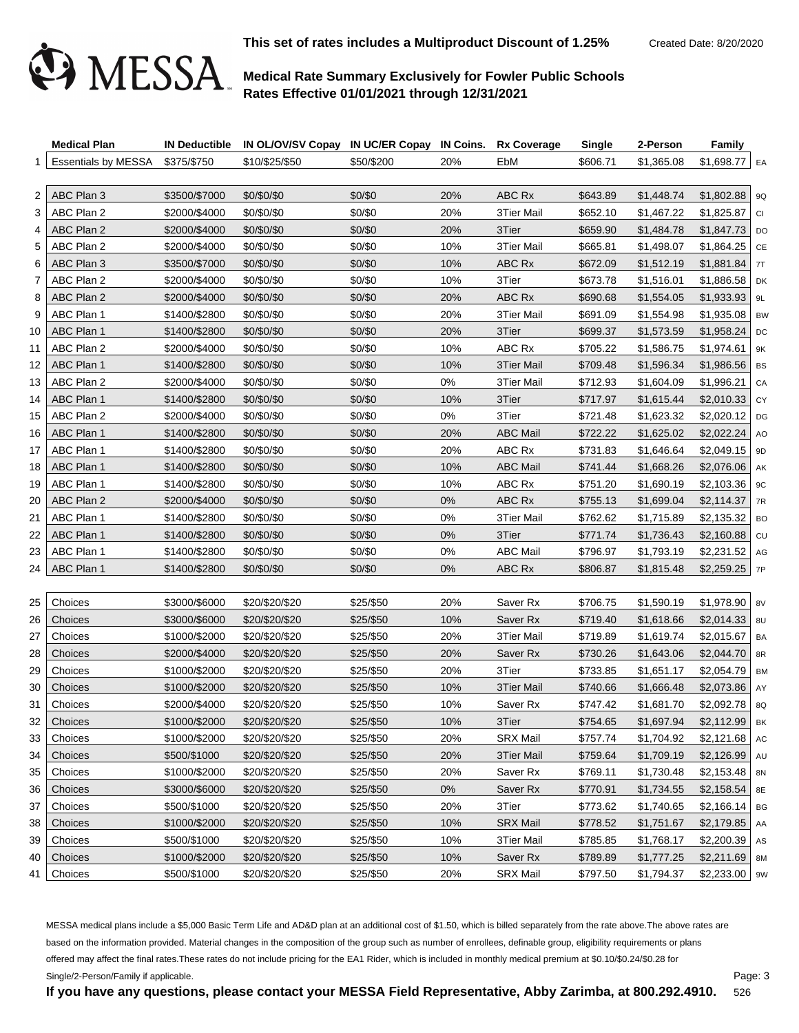

**This set of rates includes a Multiproduct Discount of 1.25%** Created Date: 8/20/2020

# **Medical Rate Summary Exclusively for Fowler Public Schools Rates Effective 01/01/2021 through 12/31/2021**

|    | <b>Medical Plan</b>             |               | IN Deductible IN OL/OV/SV Copay IN UC/ER Copay IN Coins. Rx Coverage |            |       |                   | <b>Single</b> | 2-Person   | <b>Family</b>    |    |
|----|---------------------------------|---------------|----------------------------------------------------------------------|------------|-------|-------------------|---------------|------------|------------------|----|
|    | Essentials by MESSA \$375/\$750 |               | \$10/\$25/\$50                                                       | \$50/\$200 | 20%   | EbM               | \$606.71      | \$1,365.08 | \$1,698.77   EA  |    |
|    |                                 |               |                                                                      |            |       |                   |               |            |                  |    |
| 2  | ABC Plan 3                      | \$3500/\$7000 | \$0/\$0/\$0                                                          | \$0/\$0    | 20%   | ABC Rx            | \$643.89      | \$1,448.74 | $$1,802.88$   9Q |    |
| 3  | ABC Plan 2                      | \$2000/\$4000 | \$0/\$0/\$0                                                          | \$0/\$0    | 20%   | <b>3Tier Mail</b> | \$652.10      | \$1,467.22 | $$1,825.87$ CI   |    |
| 4  | ABC Plan 2                      | \$2000/\$4000 | \$0/\$0/\$0                                                          | \$0/\$0    | 20%   | 3Tier             | \$659.90      | \$1,484.78 | $$1,847.73$ DO   |    |
| 5  | ABC Plan 2                      | \$2000/\$4000 | \$0/\$0/\$0                                                          | \$0/\$0    | 10%   | <b>3Tier Mail</b> | \$665.81      | \$1,498.07 | $$1,864.25$ CE   |    |
| 6  | ABC Plan 3                      | \$3500/\$7000 | \$0/\$0/\$0                                                          | \$0/\$0    | 10%   | ABC Rx            | \$672.09      | \$1,512.19 | $$1,881.84$ 7T   |    |
| 7  | ABC Plan 2                      | \$2000/\$4000 | \$0/\$0/\$0                                                          | \$0/\$0    | 10%   | 3Tier             | \$673.78      | \$1,516.01 | $$1,886.58$ DK   |    |
| 8  | ABC Plan 2                      | \$2000/\$4000 | \$0/\$0/\$0                                                          | \$0/\$0    | 20%   | ABC Rx            | \$690.68      | \$1,554.05 | $$1,933.93$   9L |    |
| 9  | ABC Plan 1                      | \$1400/\$2800 | \$0/\$0/\$0                                                          | \$0/\$0    | 20%   | 3Tier Mail        | \$691.09      | \$1,554.98 | $$1,935.08$ BW   |    |
| 10 | ABC Plan 1                      | \$1400/\$2800 | \$0/\$0/\$0                                                          | \$0/\$0    | 20%   | 3Tier             | \$699.37      | \$1,573.59 | $$1,958.24$ DC   |    |
| 11 | ABC Plan 2                      | \$2000/\$4000 | \$0/\$0/\$0                                                          | \$0/\$0    | 10%   | ABC Rx            | \$705.22      | \$1,586.75 | $$1,974.61$   9K |    |
| 12 | ABC Plan 1                      | \$1400/\$2800 | \$0/\$0/\$0                                                          | \$0/\$0    | 10%   | 3Tier Mail        | \$709.48      | \$1,596.34 | $$1,986.56$ BS   |    |
| 13 | ABC Plan 2                      | \$2000/\$4000 | \$0/\$0/\$0                                                          | \$0/\$0    | 0%    | <b>3Tier Mail</b> | \$712.93      | \$1,604.09 | $$1,996.21$ CA   |    |
| 14 | ABC Plan 1                      | \$1400/\$2800 | \$0/\$0/\$0                                                          | \$0/\$0    | 10%   | 3Tier             | \$717.97      | \$1,615.44 | $$2,010.33$ CY   |    |
| 15 | ABC Plan 2                      | \$2000/\$4000 | \$0/\$0/\$0                                                          | \$0/\$0    | 0%    | 3Tier             | \$721.48      | \$1,623.32 | $$2,020.12$ DG   |    |
| 16 | ABC Plan 1                      | \$1400/\$2800 | \$0/\$0/\$0                                                          | \$0/\$0    | 20%   | <b>ABC Mail</b>   | \$722.22      | \$1,625.02 | $$2,022.24$ AO   |    |
| 17 | ABC Plan 1                      | \$1400/\$2800 | \$0/\$0/\$0                                                          | \$0/\$0    | 20%   | ABC Rx            | \$731.83      | \$1,646.64 | $$2,049.15$ 9D   |    |
| 18 | ABC Plan 1                      | \$1400/\$2800 | \$0/\$0/\$0                                                          | \$0/\$0    | 10%   | <b>ABC Mail</b>   | \$741.44      | \$1,668.26 | $$2,076.06$ AK   |    |
| 19 | ABC Plan 1                      | \$1400/\$2800 | \$0/\$0/\$0                                                          | \$0/\$0    | 10%   | ABC Rx            | \$751.20      | \$1,690.19 | $$2,103.36$   9C |    |
| 20 | ABC Plan 2                      | \$2000/\$4000 | \$0/\$0/\$0                                                          | \$0/\$0    | $0\%$ | ABC Rx            | \$755.13      | \$1,699.04 | $$2,114.37$ 7R   |    |
| 21 | ABC Plan 1                      | \$1400/\$2800 | \$0/\$0/\$0                                                          | \$0/\$0    | 0%    | 3Tier Mail        | \$762.62      | \$1,715.89 | $$2,135.32$ BO   |    |
| 22 | ABC Plan 1                      | \$1400/\$2800 | \$0/\$0/\$0                                                          | \$0/\$0    | 0%    | 3Tier             | \$771.74      | \$1,736.43 | $$2,160.88$ cu   |    |
| 23 | ABC Plan 1                      | \$1400/\$2800 | \$0/\$0/\$0                                                          | \$0/\$0    | 0%    | <b>ABC Mail</b>   | \$796.97      | \$1,793.19 | $$2,231.52$ AG   |    |
| 24 | ABC Plan 1                      | \$1400/\$2800 | \$0/\$0/\$0                                                          | \$0/\$0    | 0%    | ABC Rx            | \$806.87      | \$1,815.48 | $$2,259.25$ 7P   |    |
|    |                                 |               |                                                                      |            |       |                   |               |            |                  |    |
| 25 | Choices                         | \$3000/\$6000 | \$20/\$20/\$20                                                       | \$25/\$50  | 20%   | Saver Rx          | \$706.75      | \$1,590.19 | $$1,978.90$   8V |    |
| 26 | Choices                         | \$3000/\$6000 | \$20/\$20/\$20                                                       | \$25/\$50  | 10%   | Saver Rx          | \$719.40      | \$1,618.66 | $$2,014.33$ 8U   |    |
| 27 | Choices                         | \$1000/\$2000 | \$20/\$20/\$20                                                       | \$25/\$50  | 20%   | 3Tier Mail        | \$719.89      | \$1,619.74 | $$2,015.67$ BA   |    |
| 28 | Choices                         | \$2000/\$4000 | \$20/\$20/\$20                                                       | \$25/\$50  | 20%   | Saver Rx          | \$730.26      | \$1,643.06 | $$2,044.70$ 8R   |    |
| 29 | Choices                         | \$1000/\$2000 | \$20/\$20/\$20                                                       | \$25/\$50  | 20%   | 3Tier             | \$733.85      | \$1,651.17 | $$2,054.79$ BM   |    |
| 30 | Choices                         | \$1000/\$2000 | \$20/\$20/\$20                                                       | \$25/\$50  | 10%   | 3Tier Mail        | \$740.66      | \$1,666.48 | $$2,073.86$ AY   |    |
| 31 | Choices                         | \$2000/\$4000 | \$20/\$20/\$20                                                       | \$25/\$50  | 10%   | Saver Rx          | \$747.42      | \$1,681.70 | $$2,092.78$ 8Q   |    |
| 32 | Choices                         | \$1000/\$2000 | \$20/\$20/\$20                                                       | \$25/\$50  | 10%   | 3Tier             | \$754.65      | \$1.697.94 | $$2.112.99$ BK   |    |
| 33 | Choices                         | \$1000/\$2000 | \$20/\$20/\$20                                                       | \$25/\$50  | 20%   | <b>SRX Mail</b>   | \$757.74      | \$1,704.92 | $$2,121.68$ AC   |    |
| 34 | Choices                         | \$500/\$1000  | \$20/\$20/\$20                                                       | \$25/\$50  | 20%   | 3Tier Mail        | \$759.64      | \$1,709.19 | $$2,126.99$ AU   |    |
| 35 | Choices                         | \$1000/\$2000 | \$20/\$20/\$20                                                       | \$25/\$50  | 20%   | Saver Rx          | \$769.11      | \$1,730.48 | $$2,153.48$ 8N   |    |
| 36 | Choices                         | \$3000/\$6000 | \$20/\$20/\$20                                                       | \$25/\$50  | $0\%$ | Saver Rx          | \$770.91      | \$1,734.55 | \$2,158.54       | 8E |
| 37 | Choices                         | \$500/\$1000  | \$20/\$20/\$20                                                       | \$25/\$50  | 20%   | 3Tier             | \$773.62      | \$1,740.65 | $$2,166.14$ BG   |    |
| 38 | Choices                         | \$1000/\$2000 | \$20/\$20/\$20                                                       | \$25/\$50  | 10%   | <b>SRX Mail</b>   | \$778.52      | \$1,751.67 | $$2,179.85$ AA   |    |
| 39 | Choices                         | \$500/\$1000  | \$20/\$20/\$20                                                       | \$25/\$50  | 10%   | 3Tier Mail        | \$785.85      | \$1,768.17 | $$2,200.39$ As   |    |
| 40 | Choices                         | \$1000/\$2000 | \$20/\$20/\$20                                                       | \$25/\$50  | 10%   | Saver Rx          | \$789.89      | \$1,777.25 | $$2,211.69$ 8M   |    |
| 41 | Choices                         | \$500/\$1000  | \$20/\$20/\$20                                                       | \$25/\$50  | 20%   | <b>SRX Mail</b>   | \$797.50      | \$1,794.37 | $$2,233.00$   9W |    |
|    |                                 |               |                                                                      |            |       |                   |               |            |                  |    |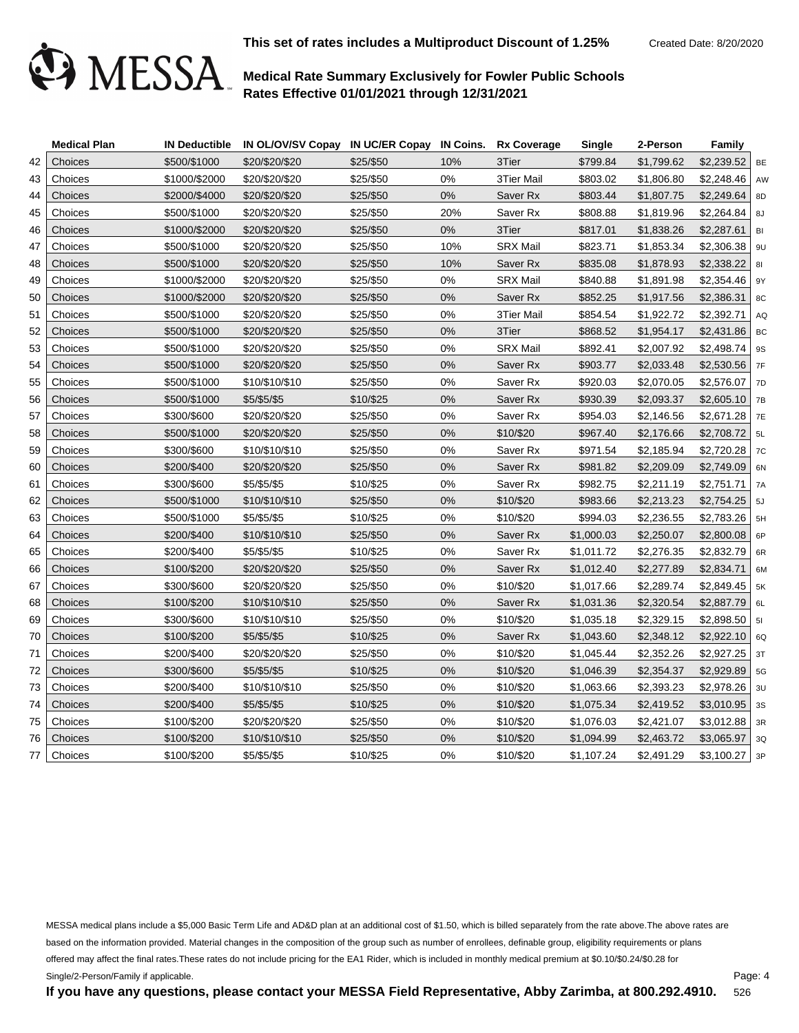

|    | <b>Medical Plan</b> |               | IN Deductible IN OL/OV/SV Copay IN UC/ER Copay IN Coins. |           |       | <b>Rx Coverage</b> | Single     | 2-Person   | Family           |        |
|----|---------------------|---------------|----------------------------------------------------------|-----------|-------|--------------------|------------|------------|------------------|--------|
| 42 | Choices             | \$500/\$1000  | \$20/\$20/\$20                                           | \$25/\$50 | 10%   | 3Tier              | \$799.84   | \$1,799.62 | $$2,239.52$ BE   |        |
| 43 | Choices             | \$1000/\$2000 | \$20/\$20/\$20                                           | \$25/\$50 | 0%    | 3Tier Mail         | \$803.02   | \$1,806.80 | $$2,248.46$ AW   |        |
| 44 | Choices             | \$2000/\$4000 | \$20/\$20/\$20                                           | \$25/\$50 | 0%    | Saver Rx           | \$803.44   | \$1,807.75 | \$2,249.64       | 8D     |
| 45 | Choices             | \$500/\$1000  | \$20/\$20/\$20                                           | \$25/\$50 | 20%   | Saver Rx           | \$808.88   | \$1,819.96 | $$2,264.84$ 8J   |        |
| 46 | Choices             | \$1000/\$2000 | \$20/\$20/\$20                                           | \$25/\$50 | $0\%$ | 3Tier              | \$817.01   | \$1,838.26 | \$2,287.61       | B      |
| 47 | Choices             | \$500/\$1000  | \$20/\$20/\$20                                           | \$25/\$50 | 10%   | <b>SRX Mail</b>    | \$823.71   | \$1,853.34 | $$2,306.38$   9U |        |
| 48 | Choices             | \$500/\$1000  | \$20/\$20/\$20                                           | \$25/\$50 | 10%   | Saver Rx           | \$835.08   | \$1,878.93 | \$2,338.22       | 81     |
| 49 | Choices             | \$1000/\$2000 | \$20/\$20/\$20                                           | \$25/\$50 | 0%    | <b>SRX Mail</b>    | \$840.88   | \$1,891.98 | $$2,354.46$   9Y |        |
| 50 | Choices             | \$1000/\$2000 | \$20/\$20/\$20                                           | \$25/\$50 | 0%    | Saver Rx           | \$852.25   | \$1,917.56 | \$2,386.31       | 8C     |
| 51 | Choices             | \$500/\$1000  | \$20/\$20/\$20                                           | \$25/\$50 | 0%    | 3Tier Mail         | \$854.54   | \$1,922.72 | \$2,392.71       | $ $ AQ |
| 52 | Choices             | \$500/\$1000  | \$20/\$20/\$20                                           | \$25/\$50 | 0%    | 3Tier              | \$868.52   | \$1,954.17 | $$2,431.86$ BC   |        |
| 53 | Choices             | \$500/\$1000  | \$20/\$20/\$20                                           | \$25/\$50 | 0%    | <b>SRX Mail</b>    | \$892.41   | \$2,007.92 | \$2,498.74       | 9S     |
| 54 | Choices             | \$500/\$1000  | \$20/\$20/\$20                                           | \$25/\$50 | 0%    | Saver Rx           | \$903.77   | \$2,033.48 | $$2,530.56$ 7F   |        |
| 55 | Choices             | \$500/\$1000  | \$10/\$10/\$10                                           | \$25/\$50 | $0\%$ | Saver Rx           | \$920.03   | \$2,070.05 | $$2,576.07$ 7D   |        |
| 56 | Choices             | \$500/\$1000  | \$5/\$5/\$5                                              | \$10/\$25 | 0%    | Saver Rx           | \$930.39   | \$2,093.37 | $$2,605.10$ 7B   |        |
| 57 | Choices             | \$300/\$600   | \$20/\$20/\$20                                           | \$25/\$50 | 0%    | Saver Rx           | \$954.03   | \$2,146.56 | $$2,671.28$ 7E   |        |
| 58 | Choices             | \$500/\$1000  | \$20/\$20/\$20                                           | \$25/\$50 | 0%    | \$10/\$20          | \$967.40   | \$2,176.66 | $$2,708.72$ 5L   |        |
| 59 | Choices             | \$300/\$600   | \$10/\$10/\$10                                           | \$25/\$50 | 0%    | Saver Rx           | \$971.54   | \$2,185.94 | $$2,720.28$ 7C   |        |
| 60 | Choices             | \$200/\$400   | \$20/\$20/\$20                                           | \$25/\$50 | 0%    | Saver Rx           | \$981.82   | \$2,209.09 | $$2,749.09$ 6N   |        |
| 61 | Choices             | \$300/\$600   | \$5/\$5/\$5                                              | \$10/\$25 | 0%    | Saver Rx           | \$982.75   | \$2,211.19 | \$2,751.71       | 7A     |
| 62 | Choices             | \$500/\$1000  | \$10/\$10/\$10                                           | \$25/\$50 | 0%    | \$10/\$20          | \$983.66   | \$2,213.23 | $$2,754.25$ 5J   |        |
| 63 | Choices             | \$500/\$1000  | \$5/\$5/\$5                                              | \$10/\$25 | 0%    | \$10/\$20          | \$994.03   | \$2,236.55 | $$2,783.26$ 5H   |        |
| 64 | Choices             | \$200/\$400   | \$10/\$10/\$10                                           | \$25/\$50 | $0\%$ | Saver Rx           | \$1,000.03 | \$2,250.07 | $$2,800.08$ 6P   |        |
| 65 | Choices             | \$200/\$400   | \$5/\$5/\$5                                              | \$10/\$25 | 0%    | Saver Rx           | \$1,011.72 | \$2,276.35 | $$2,832.79$ 6R   |        |
| 66 | Choices             | \$100/\$200   | \$20/\$20/\$20                                           | \$25/\$50 | 0%    | Saver Rx           | \$1,012.40 | \$2,277.89 | \$2,834.71       | 6M     |
| 67 | Choices             | \$300/\$600   | \$20/\$20/\$20                                           | \$25/\$50 | 0%    | \$10/\$20          | \$1,017.66 | \$2,289.74 | $$2,849.45$ 5K   |        |
| 68 | Choices             | \$100/\$200   | \$10/\$10/\$10                                           | \$25/\$50 | 0%    | Saver Rx           | \$1,031.36 | \$2,320.54 | $$2,887.79$ 6L   |        |
| 69 | Choices             | \$300/\$600   | \$10/\$10/\$10                                           | \$25/\$50 | 0%    | \$10/\$20          | \$1,035.18 | \$2,329.15 | $$2,898.50$   51 |        |
| 70 | Choices             | \$100/\$200   | \$5/\$5/\$5                                              | \$10/\$25 | 0%    | Saver Rx           | \$1,043.60 | \$2,348.12 | $$2,922.10$ 6Q   |        |
| 71 | Choices             | \$200/\$400   | \$20/\$20/\$20                                           | \$25/\$50 | $0\%$ | \$10/\$20          | \$1,045.44 | \$2,352.26 | $$2,927.25$ 3T   |        |
| 72 | Choices             | \$300/\$600   | \$5/\$5/\$5                                              | \$10/\$25 | 0%    | \$10/\$20          | \$1,046.39 | \$2,354.37 | $$2,929.89$ 5G   |        |
| 73 | Choices             | \$200/\$400   | \$10/\$10/\$10                                           | \$25/\$50 | $0\%$ | \$10/\$20          | \$1,063.66 | \$2,393.23 | $$2,978.26$ 3U   |        |
| 74 | Choices             | \$200/\$400   | \$5/\$5/\$5                                              | \$10/\$25 | 0%    | \$10/\$20          | \$1,075.34 | \$2,419.52 | $$3,010.95$ 3s   |        |
| 75 | Choices             | \$100/\$200   | \$20/\$20/\$20                                           | \$25/\$50 | $0\%$ | \$10/\$20          | \$1,076.03 | \$2,421.07 | $$3,012.88$ 3R   |        |
| 76 | Choices             | \$100/\$200   | \$10/\$10/\$10                                           | \$25/\$50 | 0%    | \$10/\$20          | \$1,094.99 | \$2,463.72 | $$3,065.97$ 3Q   |        |
| 77 | Choices             | \$100/\$200   | \$5/\$5/\$5                                              | \$10/\$25 | 0%    | \$10/\$20          | \$1,107.24 | \$2,491.29 | $$3,100.27$ 3P   |        |

MESSA medical plans include a \$5,000 Basic Term Life and AD&D plan at an additional cost of \$1.50, which is billed separately from the rate above.The above rates are based on the information provided. Material changes in the composition of the group such as number of enrollees, definable group, eligibility requirements or plans offered may affect the final rates.These rates do not include pricing for the EA1 Rider, which is included in monthly medical premium at \$0.10/\$0.24/\$0.28 for Single/2-Person/Family if applicable.

Page: 4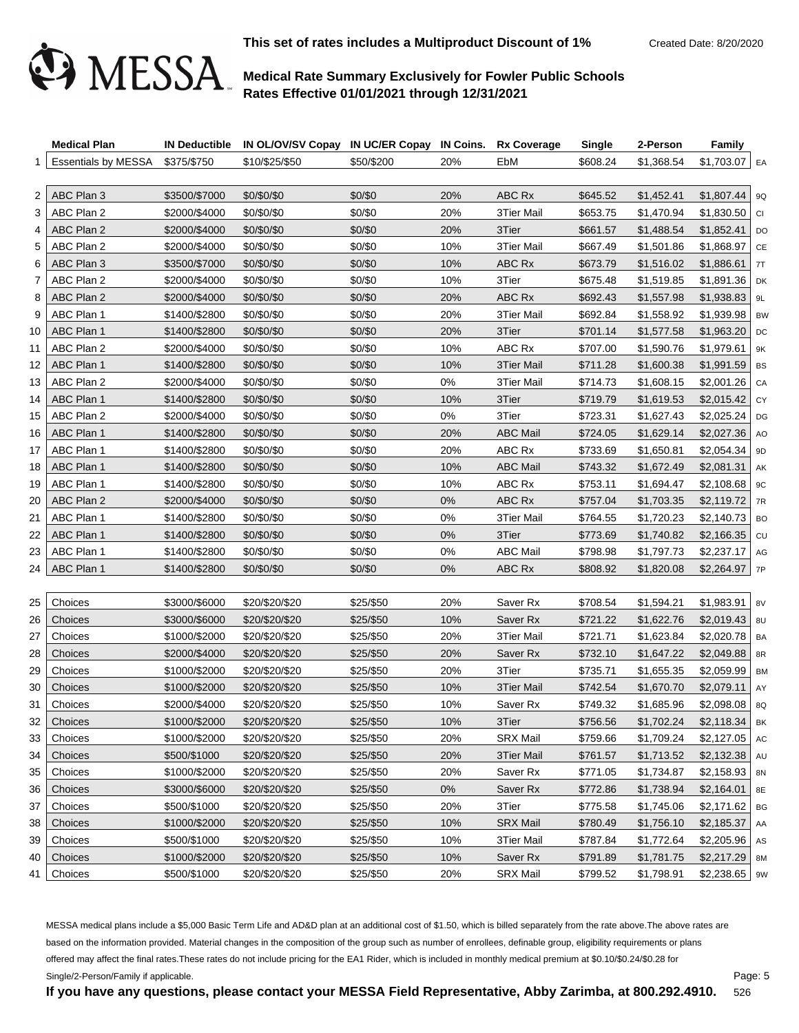

**This set of rates includes a Multiproduct Discount of 1%** Created Date: 8/20/2020

# **Medical Rate Summary Exclusively for Fowler Public Schools Rates Effective 01/01/2021 through 12/31/2021**

|    | <b>Medical Plan</b>             |               | IN Deductible IN OL/OV/SV Copay IN UC/ER Copay IN Coins. Rx Coverage |            |       |                     | <b>Single</b> | 2-Person   | <b>Family</b>    |    |
|----|---------------------------------|---------------|----------------------------------------------------------------------|------------|-------|---------------------|---------------|------------|------------------|----|
|    | Essentials by MESSA \$375/\$750 |               | \$10/\$25/\$50                                                       | \$50/\$200 | 20%   | EbM                 | \$608.24      | \$1,368.54 | $$1,703.07$ EA   |    |
|    |                                 |               |                                                                      |            |       |                     |               |            |                  |    |
| 2  | ABC Plan 3                      | \$3500/\$7000 | \$0/\$0/\$0                                                          | \$0/\$0    | 20%   | ABC Rx              | \$645.52      | \$1,452.41 | $$1,807.44$   9Q |    |
| 3  | ABC Plan 2                      | \$2000/\$4000 | \$0/\$0/\$0                                                          | \$0/\$0    | 20%   | 3Tier Mail          | \$653.75      | \$1,470.94 | $$1,830.50$ CI   |    |
| 4  | ABC Plan 2                      | \$2000/\$4000 | \$0/\$0/\$0                                                          | \$0/\$0    | 20%   | 3Tier               | \$661.57      | \$1,488.54 | \$1,852.41       | DO |
| 5  | ABC Plan 2                      | \$2000/\$4000 | \$0/\$0/\$0                                                          | \$0/\$0    | 10%   | 3Tier Mail          | \$667.49      | \$1,501.86 | $$1,868.97$ CE   |    |
| 6  | ABC Plan 3                      | \$3500/\$7000 | \$0/\$0/\$0                                                          | \$0/\$0    | 10%   | ABC Rx              | \$673.79      | \$1,516.02 | \$1,886.61       | 7T |
| 7  | ABC Plan 2                      | \$2000/\$4000 | \$0/\$0/\$0                                                          | \$0/\$0    | 10%   | 3Tier               | \$675.48      | \$1,519.85 | $$1,891.36$ DK   |    |
| 8  | ABC Plan 2                      | \$2000/\$4000 | \$0/\$0/\$0                                                          | \$0/\$0    | 20%   | ABC Rx              | \$692.43      | \$1,557.98 | $$1,938.83$   9L |    |
| 9  | ABC Plan 1                      | \$1400/\$2800 | \$0/\$0/\$0                                                          | \$0/\$0    | 20%   | 3Tier Mail          | \$692.84      | \$1,558.92 | $$1,939.98$ BW   |    |
| 10 | ABC Plan 1                      | \$1400/\$2800 | \$0/\$0/\$0                                                          | \$0/\$0    | 20%   | 3Tier               | \$701.14      | \$1,577.58 | $$1,963.20$ DC   |    |
| 11 | ABC Plan 2                      | \$2000/\$4000 | \$0/\$0/\$0                                                          | \$0/\$0    | 10%   | ABC Rx              | \$707.00      | \$1,590.76 | $$1,979.61$   9K |    |
| 12 | ABC Plan 1                      | \$1400/\$2800 | \$0/\$0/\$0                                                          | \$0/\$0    | 10%   | 3Tier Mail          | \$711.28      | \$1,600.38 | $$1,991.59$ BS   |    |
| 13 | ABC Plan 2                      | \$2000/\$4000 | \$0/\$0/\$0                                                          | \$0/\$0    | 0%    | <b>3Tier Mail</b>   | \$714.73      | \$1,608.15 | $$2,001.26$ CA   |    |
| 14 | ABC Plan 1                      | \$1400/\$2800 | \$0/\$0/\$0                                                          | \$0/\$0    | 10%   | 3Tier               | \$719.79      | \$1,619.53 | $$2,015.42$ CY   |    |
| 15 | ABC Plan 2                      | \$2000/\$4000 | \$0/\$0/\$0                                                          | \$0/\$0    | 0%    | 3Tier               | \$723.31      | \$1,627.43 | \$2,025.24       | DG |
| 16 | ABC Plan 1                      | \$1400/\$2800 | \$0/\$0/\$0                                                          | \$0/\$0    | 20%   | <b>ABC Mail</b>     | \$724.05      | \$1,629.14 | $$2,027.36$ AO   |    |
| 17 | ABC Plan 1                      | \$1400/\$2800 | \$0/\$0/\$0                                                          | \$0/\$0    | 20%   | ABC Rx              | \$733.69      | \$1,650.81 | $$2,054.34$ 9D   |    |
| 18 | ABC Plan 1                      | \$1400/\$2800 | \$0/\$0/\$0                                                          | \$0/\$0    | 10%   | <b>ABC Mail</b>     | \$743.32      | \$1,672.49 | \$2,081.31       | AK |
| 19 | ABC Plan 1                      | \$1400/\$2800 | \$0/\$0/\$0                                                          | \$0/\$0    | 10%   | ABC Rx              | \$753.11      | \$1,694.47 | $$2,108.68$   9C |    |
| 20 | ABC Plan 2                      | \$2000/\$4000 | \$0/\$0/\$0                                                          | \$0/\$0    | $0\%$ | ABC Rx              | \$757.04      | \$1,703.35 | $$2,119.72$ 7R   |    |
| 21 | ABC Plan 1                      | \$1400/\$2800 | \$0/\$0/\$0                                                          | \$0/\$0    | 0%    | 3Tier Mail          | \$764.55      | \$1,720.23 | $$2,140.73$ BO   |    |
| 22 | ABC Plan 1                      | \$1400/\$2800 | \$0/\$0/\$0                                                          | \$0/\$0    | 0%    | 3Tier               | \$773.69      | \$1,740.82 | $$2,166.35$ cu   |    |
| 23 | ABC Plan 1                      | \$1400/\$2800 | \$0/\$0/\$0                                                          | \$0/\$0    | 0%    | <b>ABC Mail</b>     | \$798.98      | \$1,797.73 | $$2,237.17$ AG   |    |
| 24 | ABC Plan 1                      | \$1400/\$2800 | \$0/\$0/\$0                                                          | \$0/\$0    | 0%    | ABC Rx              | \$808.92      | \$1,820.08 | $$2,264.97$ 7P   |    |
|    |                                 |               |                                                                      |            |       |                     |               |            |                  |    |
| 25 | Choices                         | \$3000/\$6000 | \$20/\$20/\$20                                                       | \$25/\$50  | 20%   | Saver Rx            | \$708.54      | \$1,594.21 | $$1,983.91$   8V |    |
| 26 | Choices                         | \$3000/\$6000 | \$20/\$20/\$20                                                       | \$25/\$50  | 10%   | Saver Rx            | \$721.22      | \$1,622.76 | $$2,019.43$ 8U   |    |
| 27 | Choices                         | \$1000/\$2000 | \$20/\$20/\$20                                                       | \$25/\$50  | 20%   | <b>3Tier Mail</b>   | \$721.71      | \$1,623.84 | $$2,020.78$ BA   |    |
| 28 | Choices                         | \$2000/\$4000 | \$20/\$20/\$20                                                       | \$25/\$50  | 20%   | Saver <sub>Rx</sub> | \$732.10      | \$1,647.22 | $$2,049.88$ 8R   |    |
| 29 | Choices                         | \$1000/\$2000 | \$20/\$20/\$20                                                       | \$25/\$50  | 20%   | 3Tier               | \$735.71      | \$1,655.35 | $$2,059.99$ BM   |    |
| 30 | Choices                         | \$1000/\$2000 | \$20/\$20/\$20                                                       | \$25/\$50  | 10%   | 3Tier Mail          | \$742.54      | \$1,670.70 | \$2,079.11       | AY |
| 31 | Choices                         | \$2000/\$4000 | \$20/\$20/\$20                                                       | \$25/\$50  | 10%   | Saver Rx            | \$749.32      | \$1,685.96 | $$2,098.08$ 8Q   |    |
| 32 | Choices                         | \$1000/\$2000 | \$20/\$20/\$20                                                       | \$25/\$50  | 10%   | 3Tier               | \$756.56      | \$1,702.24 | $$2,118.34$ BK   |    |
| 33 | Choices                         | \$1000/\$2000 | \$20/\$20/\$20                                                       | \$25/\$50  | 20%   | <b>SRX Mail</b>     | \$759.66      | \$1,709.24 | $$2,127.05$ AC   |    |
| 34 | Choices                         | \$500/\$1000  | \$20/\$20/\$20                                                       | \$25/\$50  | 20%   | 3Tier Mail          | \$761.57      | \$1,713.52 | $$2,132.38$ AU   |    |
| 35 | Choices                         | \$1000/\$2000 | \$20/\$20/\$20                                                       | \$25/\$50  | 20%   | Saver Rx            | \$771.05      | \$1,734.87 | \$2,158.93       | 8N |
| 36 | Choices                         | \$3000/\$6000 | \$20/\$20/\$20                                                       | \$25/\$50  | $0\%$ | Saver Rx            | \$772.86      | \$1,738.94 | \$2,164.01       | 8E |
| 37 | Choices                         | \$500/\$1000  | \$20/\$20/\$20                                                       | \$25/\$50  | 20%   | 3Tier               | \$775.58      | \$1,745.06 | \$2,171.62       | BG |
| 38 | Choices                         | \$1000/\$2000 | \$20/\$20/\$20                                                       | \$25/\$50  | 10%   | <b>SRX Mail</b>     | \$780.49      | \$1,756.10 | \$2,185.37       | AA |
| 39 | Choices                         | \$500/\$1000  | \$20/\$20/\$20                                                       | \$25/\$50  | 10%   | 3Tier Mail          | \$787.84      | \$1,772.64 | $$2,205.96$ As   |    |
| 40 | Choices                         | \$1000/\$2000 | \$20/\$20/\$20                                                       | \$25/\$50  | 10%   | Saver Rx            | \$791.89      | \$1,781.75 | \$2,217.29       | 8M |
| 41 | Choices                         | \$500/\$1000  | \$20/\$20/\$20                                                       | \$25/\$50  | 20%   | <b>SRX Mail</b>     | \$799.52      | \$1,798.91 | $$2,238.65$   9W |    |
|    |                                 |               |                                                                      |            |       |                     |               |            |                  |    |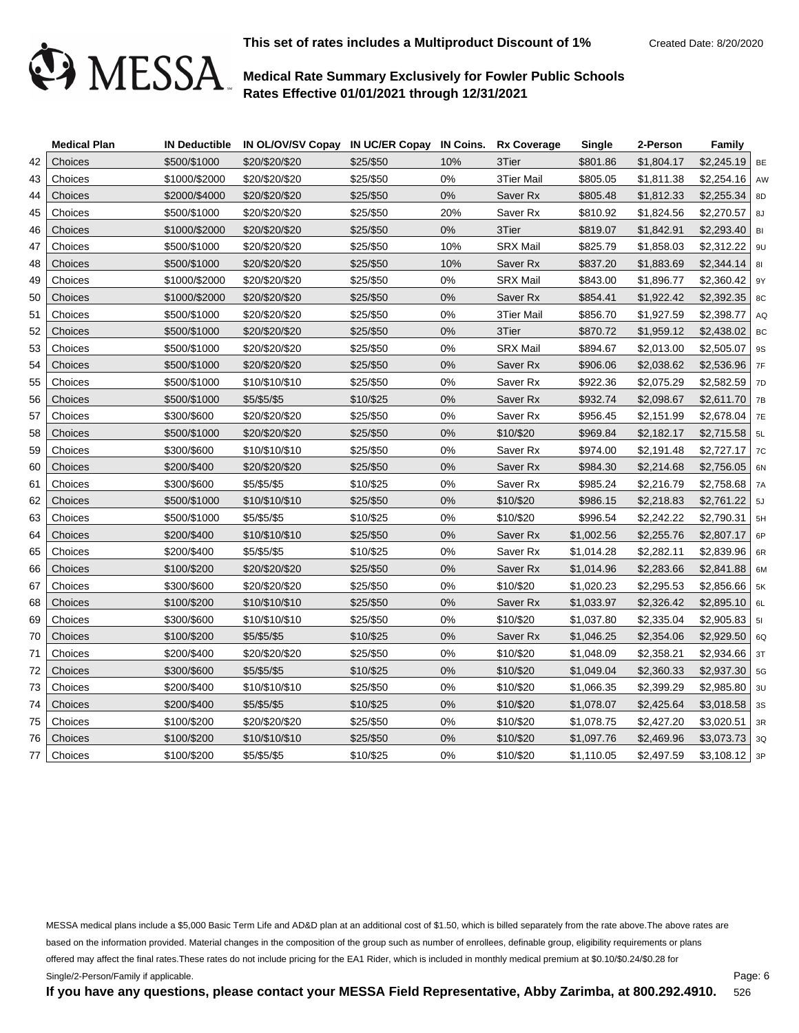

|    | <b>Medical Plan</b> |               | IN Deductible IN OL/OV/SV Copay IN UC/ER Copay IN Coins. Rx Coverage |           |       |                 | <b>Single</b> | 2-Person   | Family           |    |
|----|---------------------|---------------|----------------------------------------------------------------------|-----------|-------|-----------------|---------------|------------|------------------|----|
| 42 | Choices             | \$500/\$1000  | \$20/\$20/\$20                                                       | \$25/\$50 | 10%   | 3Tier           | \$801.86      | \$1,804.17 | $$2,245.19$ BE   |    |
| 43 | Choices             | \$1000/\$2000 | \$20/\$20/\$20                                                       | \$25/\$50 | 0%    | 3Tier Mail      | \$805.05      | \$1,811.38 | $$2,254.16$ AW   |    |
| 44 | Choices             | \$2000/\$4000 | \$20/\$20/\$20                                                       | \$25/\$50 | $0\%$ | Saver Rx        | \$805.48      | \$1,812.33 | \$2,255.34       | 8D |
| 45 | Choices             | \$500/\$1000  | \$20/\$20/\$20                                                       | \$25/\$50 | 20%   | Saver Rx        | \$810.92      | \$1,824.56 | $$2,270.57$ 8J   |    |
| 46 | Choices             | \$1000/\$2000 | \$20/\$20/\$20                                                       | \$25/\$50 | $0\%$ | 3Tier           | \$819.07      | \$1,842.91 | $$2,293.40$ BI   |    |
| 47 | Choices             | \$500/\$1000  | \$20/\$20/\$20                                                       | \$25/\$50 | 10%   | <b>SRX Mail</b> | \$825.79      | \$1,858.03 | $$2,312.22$   9U |    |
| 48 | Choices             | \$500/\$1000  | \$20/\$20/\$20                                                       | \$25/\$50 | 10%   | Saver Rx        | \$837.20      | \$1,883.69 | $$2,344.14$ 81   |    |
| 49 | Choices             | \$1000/\$2000 | \$20/\$20/\$20                                                       | \$25/\$50 | 0%    | <b>SRX Mail</b> | \$843.00      | \$1,896.77 | $$2,360.42$   9Y |    |
| 50 | Choices             | \$1000/\$2000 | \$20/\$20/\$20                                                       | \$25/\$50 | 0%    | Saver Rx        | \$854.41      | \$1,922.42 | $$2,392.35$ 8C   |    |
| 51 | Choices             | \$500/\$1000  | \$20/\$20/\$20                                                       | \$25/\$50 | 0%    | 3Tier Mail      | \$856.70      | \$1,927.59 | $$2,398.77$ AQ   |    |
| 52 | Choices             | \$500/\$1000  | \$20/\$20/\$20                                                       | \$25/\$50 | 0%    | 3Tier           | \$870.72      | \$1,959.12 | $$2,438.02$ BC   |    |
| 53 | Choices             | \$500/\$1000  | \$20/\$20/\$20                                                       | \$25/\$50 | 0%    | <b>SRX Mail</b> | \$894.67      | \$2,013.00 | \$2,505.07       | 9S |
| 54 | Choices             | \$500/\$1000  | \$20/\$20/\$20                                                       | \$25/\$50 | 0%    | Saver Rx        | \$906.06      | \$2,038.62 | $$2,536.96$ 7F   |    |
| 55 | Choices             | \$500/\$1000  | \$10/\$10/\$10                                                       | \$25/\$50 | 0%    | Saver Rx        | \$922.36      | \$2,075.29 | $$2,582.59$ 7D   |    |
| 56 | Choices             | \$500/\$1000  | \$5/\$5/\$5                                                          | \$10/\$25 | 0%    | Saver Rx        | \$932.74      | \$2,098.67 | $$2,611.70$ 7B   |    |
| 57 | Choices             | \$300/\$600   | \$20/\$20/\$20                                                       | \$25/\$50 | 0%    | Saver Rx        | \$956.45      | \$2,151.99 | $$2,678.04$ 7E   |    |
| 58 | Choices             | \$500/\$1000  | \$20/\$20/\$20                                                       | \$25/\$50 | 0%    | \$10/\$20       | \$969.84      | \$2,182.17 | $$2,715.58$ 5L   |    |
| 59 | Choices             | \$300/\$600   | \$10/\$10/\$10                                                       | \$25/\$50 | 0%    | Saver Rx        | \$974.00      | \$2,191.48 | $$2,727.17$ 7C   |    |
| 60 | Choices             | \$200/\$400   | \$20/\$20/\$20                                                       | \$25/\$50 | 0%    | Saver Rx        | \$984.30      | \$2,214.68 | $$2,756.05$ 6N   |    |
| 61 | Choices             | \$300/\$600   | \$5/\$5/\$5                                                          | \$10/\$25 | 0%    | Saver Rx        | \$985.24      | \$2,216.79 | $$2,758.68$ 7A   |    |
| 62 | Choices             | \$500/\$1000  | \$10/\$10/\$10                                                       | \$25/\$50 | 0%    | \$10/\$20       | \$986.15      | \$2,218.83 | $$2,761.22$ 5J   |    |
| 63 | Choices             | \$500/\$1000  | \$5/\$5/\$5                                                          | \$10/\$25 | 0%    | \$10/\$20       | \$996.54      | \$2,242.22 | $$2,790.31$ 5H   |    |
| 64 | Choices             | \$200/\$400   | \$10/\$10/\$10                                                       | \$25/\$50 | 0%    | Saver Rx        | \$1,002.56    | \$2,255.76 | $$2,807.17$ 6P   |    |
| 65 | Choices             | \$200/\$400   | \$5/\$5/\$5                                                          | \$10/\$25 | 0%    | Saver Rx        | \$1,014.28    | \$2,282.11 | $$2,839.96$ 6R   |    |
| 66 | Choices             | \$100/\$200   | \$20/\$20/\$20                                                       | \$25/\$50 | 0%    | Saver Rx        | \$1,014.96    | \$2,283.66 | $$2,841.88$ 6M   |    |
| 67 | Choices             | \$300/\$600   | \$20/\$20/\$20                                                       | \$25/\$50 | 0%    | \$10/\$20       | \$1,020.23    | \$2,295.53 | $$2,856.66$   5K |    |
| 68 | Choices             | \$100/\$200   | \$10/\$10/\$10                                                       | \$25/\$50 | 0%    | Saver Rx        | \$1,033.97    | \$2,326.42 | $$2,895.10$ 6L   |    |
| 69 | Choices             | \$300/\$600   | \$10/\$10/\$10                                                       | \$25/\$50 | 0%    | \$10/\$20       | \$1,037.80    | \$2,335.04 | $$2,905.83$   51 |    |
| 70 | Choices             | \$100/\$200   | \$5/\$5/\$5                                                          | \$10/\$25 | 0%    | Saver Rx        | \$1,046.25    | \$2,354.06 | $$2,929.50$ 6Q   |    |
| 71 | Choices             | \$200/\$400   | \$20/\$20/\$20                                                       | \$25/\$50 | 0%    | \$10/\$20       | \$1,048.09    | \$2,358.21 | $$2,934.66$ 3T   |    |
| 72 | Choices             | \$300/\$600   | \$5/\$5/\$5                                                          | \$10/\$25 | $0\%$ | \$10/\$20       | \$1,049.04    | \$2,360.33 | $$2,937.30$ 5G   |    |
| 73 | Choices             | \$200/\$400   | \$10/\$10/\$10                                                       | \$25/\$50 | 0%    | \$10/\$20       | \$1,066.35    | \$2,399.29 | $$2,985.80$ 3U   |    |
| 74 | Choices             | \$200/\$400   | \$5/\$5/\$5                                                          | \$10/\$25 | 0%    | \$10/\$20       | \$1,078.07    | \$2,425.64 | $$3,018.58$ 3s   |    |
| 75 | Choices             | \$100/\$200   | \$20/\$20/\$20                                                       | \$25/\$50 | $0\%$ | \$10/\$20       | \$1,078.75    | \$2,427.20 | \$3,020.51       | 3R |
| 76 | Choices             | \$100/\$200   | \$10/\$10/\$10                                                       | \$25/\$50 | 0%    | \$10/\$20       | \$1,097.76    | \$2,469.96 | $$3,073.73$ 3Q   |    |
| 77 | Choices             | \$100/\$200   | \$5/\$5/\$5                                                          | \$10/\$25 | 0%    | \$10/\$20       | \$1,110.05    | \$2,497.59 | $$3,108.12$ 3P   |    |

MESSA medical plans include a \$5,000 Basic Term Life and AD&D plan at an additional cost of \$1.50, which is billed separately from the rate above.The above rates are based on the information provided. Material changes in the composition of the group such as number of enrollees, definable group, eligibility requirements or plans offered may affect the final rates.These rates do not include pricing for the EA1 Rider, which is included in monthly medical premium at \$0.10/\$0.24/\$0.28 for Single/2-Person/Family if applicable.

**If you have any questions, please contact your MESSA Field Representative, Abby Zarimba, at 800.292.4910.**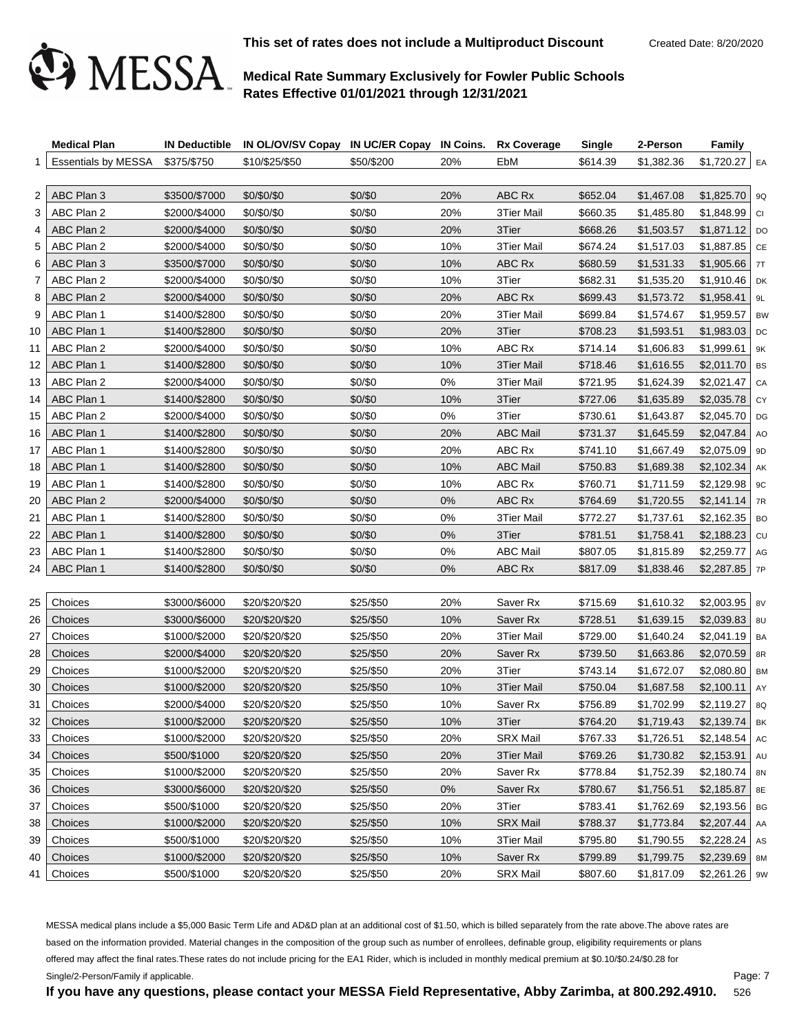

**This set of rates does not include a Multiproduct Discount** Created Date: 8/20/2020

## **Medical Rate Summary Exclusively for Fowler Public Schools Rates Effective 01/01/2021 through 12/31/2021**

|    | <b>Medical Plan</b>             |               | IN Deductible IN OL/OV/SV Copay IN UC/ER Copay IN Coins. Rx Coverage |            |       |                   | <b>Single</b> | 2-Person   | <b>Family</b>    |           |
|----|---------------------------------|---------------|----------------------------------------------------------------------|------------|-------|-------------------|---------------|------------|------------------|-----------|
|    | Essentials by MESSA \$375/\$750 |               | \$10/\$25/\$50                                                       | \$50/\$200 | 20%   | EbM               | \$614.39      | \$1,382.36 | $$1,720.27$ EA   |           |
|    |                                 |               |                                                                      |            |       |                   |               |            |                  |           |
| 2  | ABC Plan 3                      | \$3500/\$7000 | \$0/\$0/\$0                                                          | \$0/\$0    | 20%   | ABC Rx            | \$652.04      | \$1,467.08 | $$1,825.70$ 9Q   |           |
| 3  | ABC Plan 2                      | \$2000/\$4000 | \$0/\$0/\$0                                                          | \$0/\$0    | 20%   | <b>3Tier Mail</b> | \$660.35      | \$1,485.80 | $$1,848.99$ CI   |           |
| 4  | ABC Plan 2                      | \$2000/\$4000 | \$0/\$0/\$0                                                          | \$0/\$0    | 20%   | 3Tier             | \$668.26      | \$1,503.57 | $$1,871.12$ DO   |           |
| 5  | ABC Plan 2                      | \$2000/\$4000 | \$0/\$0/\$0                                                          | \$0/\$0    | 10%   | <b>3Tier Mail</b> | \$674.24      | \$1,517.03 | $$1,887.85$ CE   |           |
| 6  | ABC Plan 3                      | \$3500/\$7000 | \$0/\$0/\$0                                                          | \$0/\$0    | 10%   | ABC Rx            | \$680.59      | \$1,531.33 | $$1,905.66$ 7T   |           |
| 7  | ABC Plan 2                      | \$2000/\$4000 | \$0/\$0/\$0                                                          | \$0/\$0    | 10%   | 3Tier             | \$682.31      | \$1,535.20 | $$1,910.46$ DK   |           |
| 8  | ABC Plan 2                      | \$2000/\$4000 | \$0/\$0/\$0                                                          | \$0/\$0    | 20%   | ABC Rx            | \$699.43      | \$1,573.72 | \$1,958.41       | 9L        |
| 9  | ABC Plan 1                      | \$1400/\$2800 | \$0/\$0/\$0                                                          | \$0/\$0    | 20%   | 3Tier Mail        | \$699.84      | \$1,574.67 | $$1,959.57$ BW   |           |
| 10 | ABC Plan 1                      | \$1400/\$2800 | \$0/\$0/\$0                                                          | \$0/\$0    | 20%   | 3Tier             | \$708.23      | \$1,593.51 | $$1,983.03$ DC   |           |
| 11 | ABC Plan 2                      | \$2000/\$4000 | \$0/\$0/\$0                                                          | \$0/\$0    | 10%   | ABC Rx            | \$714.14      | \$1,606.83 | $$1,999.61$ 9K   |           |
| 12 | ABC Plan 1                      | \$1400/\$2800 | \$0/\$0/\$0                                                          | \$0/\$0    | 10%   | 3Tier Mail        | \$718.46      | \$1,616.55 | $$2,011.70$ BS   |           |
| 13 | ABC Plan 2                      | \$2000/\$4000 | \$0/\$0/\$0                                                          | \$0/\$0    | 0%    | <b>3Tier Mail</b> | \$721.95      | \$1,624.39 | $$2,021.47$ CA   |           |
| 14 | ABC Plan 1                      | \$1400/\$2800 | \$0/\$0/\$0                                                          | \$0/\$0    | 10%   | 3Tier             | \$727.06      | \$1,635.89 | $$2,035.78$ CY   |           |
| 15 | ABC Plan 2                      | \$2000/\$4000 | \$0/\$0/\$0                                                          | \$0/\$0    | 0%    | 3Tier             | \$730.61      | \$1,643.87 | $$2,045.70$ DG   |           |
| 16 | ABC Plan 1                      | \$1400/\$2800 | \$0/\$0/\$0                                                          | \$0/\$0    | 20%   | <b>ABC Mail</b>   | \$731.37      | \$1,645.59 | $$2,047.84$ AO   |           |
| 17 | ABC Plan 1                      | \$1400/\$2800 | \$0/\$0/\$0                                                          | \$0/\$0    | 20%   | ABC Rx            | \$741.10      | \$1,667.49 | $$2,075.09$ 9D   |           |
| 18 | ABC Plan 1                      | \$1400/\$2800 | \$0/\$0/\$0                                                          | \$0/\$0    | 10%   | <b>ABC Mail</b>   | \$750.83      | \$1,689.38 | $$2,102.34$ AK   |           |
| 19 | ABC Plan 1                      | \$1400/\$2800 | \$0/\$0/\$0                                                          | \$0/\$0    | 10%   | ABC Rx            | \$760.71      | \$1,711.59 | $$2,129.98$   9C |           |
| 20 | ABC Plan 2                      | \$2000/\$4000 | \$0/\$0/\$0                                                          | \$0/\$0    | $0\%$ | ABC Rx            | \$764.69      | \$1,720.55 | $$2,141.14$ 7R   |           |
| 21 | ABC Plan 1                      | \$1400/\$2800 | \$0/\$0/\$0                                                          | \$0/\$0    | 0%    | 3Tier Mail        | \$772.27      | \$1,737.61 | $$2,162.35$ BO   |           |
| 22 | ABC Plan 1                      | \$1400/\$2800 | \$0/\$0/\$0                                                          | \$0/\$0    | 0%    | 3Tier             | \$781.51      | \$1,758.41 | $$2,188.23$ cu   |           |
| 23 | ABC Plan 1                      | \$1400/\$2800 | \$0/\$0/\$0                                                          | \$0/\$0    | 0%    | <b>ABC Mail</b>   | \$807.05      | \$1,815.89 | $$2,259.77$ AG   |           |
| 24 | ABC Plan 1                      | \$1400/\$2800 | \$0/\$0/\$0                                                          | \$0/\$0    | 0%    | ABC Rx            | \$817.09      | \$1,838.46 | $$2,287.85$ 7P   |           |
|    |                                 |               |                                                                      |            |       |                   |               |            |                  |           |
| 25 | Choices                         | \$3000/\$6000 | \$20/\$20/\$20                                                       | \$25/\$50  | 20%   | Saver Rx          | \$715.69      | \$1,610.32 | $$2,003.95$   8V |           |
| 26 | Choices                         | \$3000/\$6000 | \$20/\$20/\$20                                                       | \$25/\$50  | 10%   | Saver Rx          | \$728.51      | \$1,639.15 | $$2,039.83$ 8U   |           |
| 27 | Choices                         | \$1000/\$2000 | \$20/\$20/\$20                                                       | \$25/\$50  | 20%   | 3Tier Mail        | \$729.00      | \$1,640.24 | $$2,041.19$ BA   |           |
| 28 | Choices                         | \$2000/\$4000 | \$20/\$20/\$20                                                       | \$25/\$50  | 20%   | Saver Rx          | \$739.50      | \$1,663.86 | $$2,070.59$ 8R   |           |
| 29 | Choices                         | \$1000/\$2000 | \$20/\$20/\$20                                                       | \$25/\$50  | 20%   | 3Tier             | \$743.14      | \$1,672.07 | $$2,080.80$ BM   |           |
| 30 | Choices                         | \$1000/\$2000 | \$20/\$20/\$20                                                       | \$25/\$50  | 10%   | 3Tier Mail        | \$750.04      | \$1,687.58 | \$2,100.11       | AY        |
| 31 | Choices                         | \$2000/\$4000 | \$20/\$20/\$20                                                       | \$25/\$50  | 10%   | Saver Rx          | \$756.89      | \$1,702.99 | $$2,119.27$ 8Q   |           |
| 32 | Choices                         | \$1000/\$2000 | \$20/\$20/\$20                                                       | \$25/\$50  | 10%   | 3Tier             | \$764.20      | \$1.719.43 | \$2.139.74       | <b>BK</b> |
| 33 | Choices                         | \$1000/\$2000 | \$20/\$20/\$20                                                       | \$25/\$50  | 20%   | <b>SRX Mail</b>   | \$767.33      | \$1,726.51 | $$2,148.54$ AC   |           |
| 34 | Choices                         | \$500/\$1000  | \$20/\$20/\$20                                                       | \$25/\$50  | 20%   | 3Tier Mail        | \$769.26      | \$1,730.82 | $$2,153.91$   AU |           |
| 35 | Choices                         | \$1000/\$2000 | \$20/\$20/\$20                                                       | \$25/\$50  | 20%   | Saver Rx          | \$778.84      | \$1,752.39 | $$2,180.74$ 8N   |           |
| 36 | Choices                         | \$3000/\$6000 | \$20/\$20/\$20                                                       | \$25/\$50  | $0\%$ | Saver Rx          | \$780.67      | \$1,756.51 | \$2,185.87       | 8E        |
| 37 | Choices                         | \$500/\$1000  | \$20/\$20/\$20                                                       | \$25/\$50  | 20%   | 3Tier             | \$783.41      | \$1,762.69 | $$2,193.56$ BG   |           |
| 38 | Choices                         | \$1000/\$2000 | \$20/\$20/\$20                                                       | \$25/\$50  | 10%   | <b>SRX Mail</b>   | \$788.37      | \$1,773.84 | \$2,207.44       | AA        |
| 39 | Choices                         | \$500/\$1000  | \$20/\$20/\$20                                                       | \$25/\$50  | 10%   | 3Tier Mail        | \$795.80      | \$1,790.55 | $$2,228.24$ As   |           |
| 40 | Choices                         | \$1000/\$2000 | \$20/\$20/\$20                                                       | \$25/\$50  | 10%   | Saver Rx          | \$799.89      | \$1,799.75 | $$2,239.69$ 8M   |           |
| 41 | Choices                         | \$500/\$1000  | \$20/\$20/\$20                                                       | \$25/\$50  | 20%   | <b>SRX Mail</b>   | \$807.60      | \$1,817.09 | $$2,261.26$   9W |           |